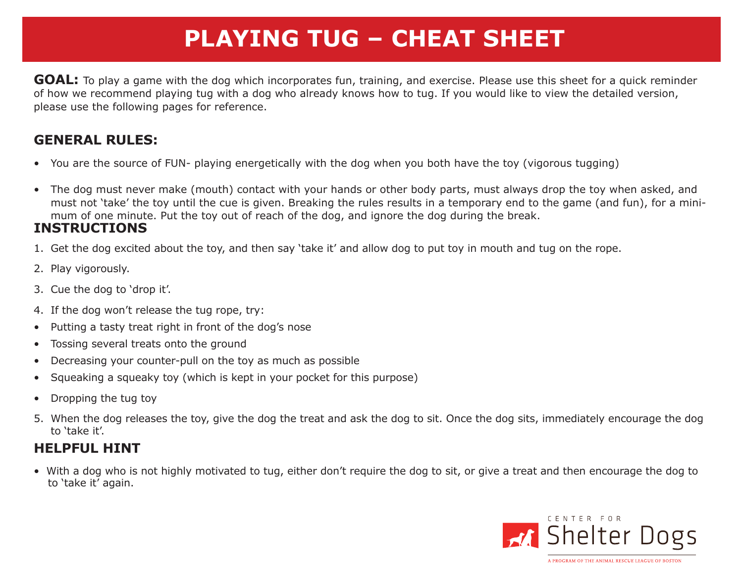## **PLAYING TUG – CHEAT SHEET**

**GOAL:** To play a game with the dog which incorporates fun, training, and exercise. Please use this sheet for a quick reminder of how we recommend playing tug with a dog who already knows how to tug. If you would like to view the detailed version, please use the following pages for reference.

### **GENERAL RULES:**

- You are the source of FUN- playing energetically with the dog when you both have the toy (vigorous tugging)
- The dog must never make (mouth) contact with your hands or other body parts, must always drop the toy when asked, and must not 'take' the toy until the cue is given. Breaking the rules results in a temporary end to the game (and fun), for a minimum of one minute. Put the toy out of reach of the dog, and ignore the dog during the break.

### **INSTRUCTIONS**

- 1. Get the dog excited about the toy, and then say 'take it' and allow dog to put toy in mouth and tug on the rope.
- 2. Play vigorously.
- 3. Cue the dog to 'drop it'.
- 4. If the dog won't release the tug rope, try:
- • Putting a tasty treat right in front of the dog's nose
- • Tossing several treats onto the ground
- Decreasing your counter-pull on the toy as much as possible
- Squeaking a squeaky toy (which is kept in your pocket for this purpose)
- Dropping the tug toy
- 5. When the dog releases the toy, give the dog the treat and ask the dog to sit. Once the dog sits, immediately encourage the dog to 'take it'.

### **HELPFUL HINT**

• With a dog who is not highly motivated to tug, either don't require the dog to sit, or give a treat and then encourage the dog to to 'take it' again.

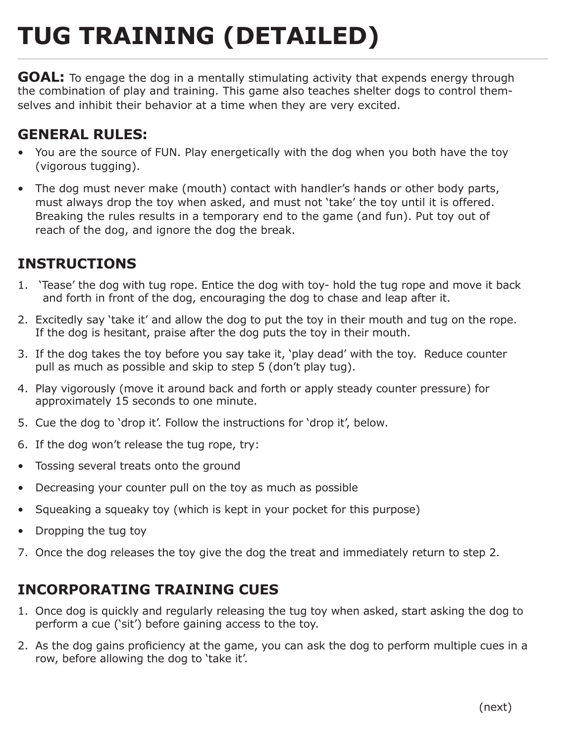# **TUG TRAINING (DETAILED)**

**GOAL:** To engage the dog in a mentally stimulating activity that expends energy through the combination of play and training. This game also teaches shelter dogs to control themselves and inhibit their behavior at a time when they are very excited.

### **GENERAL RULES:**

- You are the source of FUN. Play energetically with the dog when you both have the toy (vigorous tugging).
- The dog must never make (mouth) contact with handler's hands or other body parts, must always drop the toy when asked, and must not 'take' the toy until it is offered. Breaking the rules results in a temporary end to the game (and fun). Put toy out of reach of the dog, and ignore the dog the break.

### **INSTRUCTIONS**

- 1. 'Tease' the dog with tug rope. Entice the dog with toy- hold the tug rope and move it back and forth in front of the dog, encouraging the dog to chase and leap after it.
- 2. Excitedly say 'take it' and allow the dog to put the toy in their mouth and tug on the rope. If the dog is hesitant, praise after the dog puts the toy in their mouth.
- 3. If the dog takes the toy before you say take it, 'play dead' with the toy. Reduce counter pull as much as possible and skip to step 5 (don't play tug).
- 4. Play vigorously (move it around back and forth or apply steady counter pressure) for approximately 15 seconds to one minute.
- 5. Cue the dog to 'drop it'. Follow the instructions for 'drop it', below.
- 6. If the dog won't release the tug rope, try:
- • Tossing several treats onto the ground
- Decreasing your counter pull on the toy as much as possible
- Squeaking a squeaky toy (which is kept in your pocket for this purpose)
- Dropping the tug toy
- 7. Once the dog releases the toy give the dog the treat and immediately return to step 2.

### **INCORPORATING TRAINING CUES**

- 1. Once dog is quickly and regularly releasing the tug toy when asked, start asking the dog to perform a cue ('sit') before gaining access to the toy.
- 2. As the dog gains proficiency at the game, you can ask the dog to perform multiple cues in a row, before allowing the dog to 'take it'.